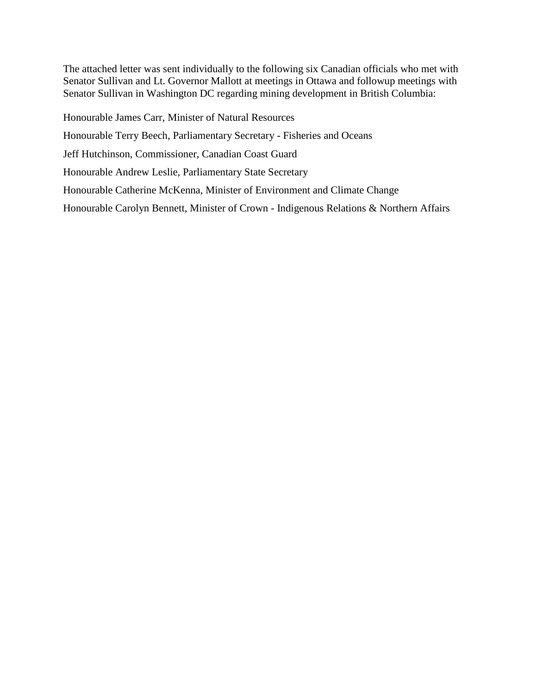The attached letter was sent individually to the following six Canadian officials who met with Senator Sullivan and Lt. Governor Mallott at meetings in Ottawa and followup meetings with Senator Sullivan in Washington DC regarding mining development in British Columbia:

Honourable James Carr, Minister of Natural Resources Honourable Terry Beech, Parliamentary Secretary - Fisheries and Oceans Jeff Hutchinson, Commissioner, Canadian Coast Guard Honourable Andrew Leslie, Parliamentary State Secretary Honourable Catherine McKenna, Minister of Environment and Climate Change Honourable Carolyn Bennett, Minister of Crown - Indigenous Relations & Northern Affairs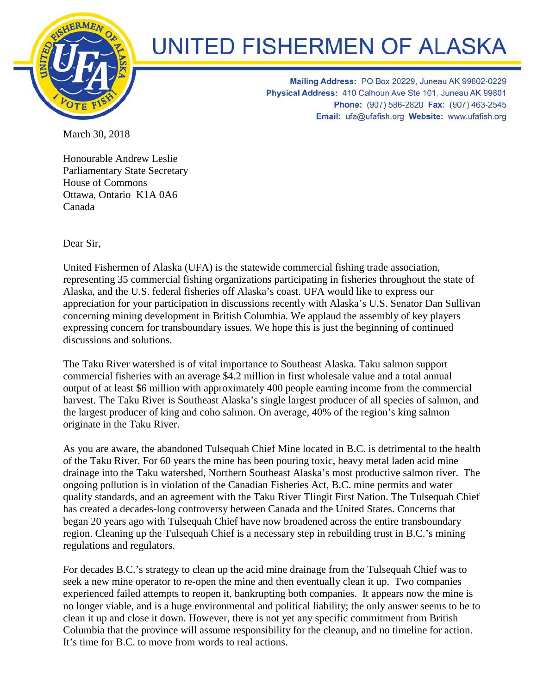

## **UNITED FISHERMEN OF ALASKA**

Mailing Address: PO Box 20229, Juneau AK 99802-0229 Physical Address: 410 Calhoun Ave Ste 101, Juneau AK 99801 Phone: (907) 586-2820 Fax: (907) 463-2545 Email: ufa@ufafish.org Website: www.ufafish.org

March 30, 2018

Honourable Andrew Leslie Parliamentary State Secretary House of Commons Ottawa, Ontario K1A 0A6 Canada

Dear Sir,

United Fishermen of Alaska (UFA) is the statewide commercial fishing trade association, representing 35 commercial fishing organizations participating in fisheries throughout the state of Alaska, and the U.S. federal fisheries off Alaska's coast. UFA would like to express our appreciation for your participation in discussions recently with Alaska's U.S. Senator Dan Sullivan concerning mining development in British Columbia. We applaud the assembly of key players expressing concern for transboundary issues. We hope this is just the beginning of continued discussions and solutions.

The Taku River watershed is of vital importance to Southeast Alaska. Taku salmon support commercial fisheries with an average \$4.2 million in first wholesale value and a total annual output of at least \$6 million with approximately 400 people earning income from the commercial harvest. The Taku River is Southeast Alaska's single largest producer of all species of salmon, and the largest producer of king and coho salmon. On average, 40% of the region's king salmon originate in the Taku River.

As you are aware, the abandoned Tulsequah Chief Mine located in B.C. is detrimental to the health of the Taku River. For 60 years the mine has been pouring toxic, heavy metal laden acid mine drainage into the Taku watershed, Northern Southeast Alaska's most productive salmon river. The ongoing pollution is in violation of the Canadian Fisheries Act, B.C. mine permits and water quality standards, and an agreement with the Taku River Tlingit First Nation. The Tulsequah Chief has created a decades-long controversy between Canada and the United States. Concerns that began 20 years ago with Tulsequah Chief have now broadened across the entire transboundary region. Cleaning up the Tulsequah Chief is a necessary step in rebuilding trust in B.C.'s mining regulations and regulators.

For decades B.C.'s strategy to clean up the acid mine drainage from the Tulsequah Chief was to seek a new mine operator to re-open the mine and then eventually clean it up. Two companies experienced failed attempts to reopen it, bankrupting both companies. It appears now the mine is no longer viable, and is a huge environmental and political liability; the only answer seems to be to clean it up and close it down. However, there is not yet any specific commitment from British Columbia that the province will assume responsibility for the cleanup, and no timeline for action. It's time for B.C. to move from words to real actions.